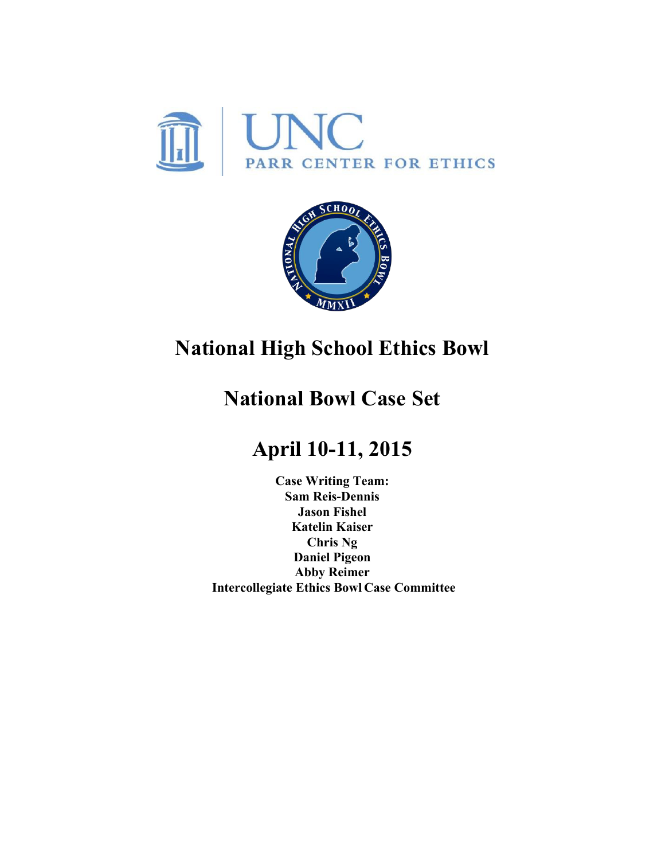



# **National High School Ethics Bowl**

# **National Bowl Case Set**

# **April 10-11, 2015**

**Case Writing Team: Sam Reis-Dennis Jason Fishel Katelin Kaiser Chris Ng Daniel Pigeon Abby Reimer Intercollegiate Ethics Bowl Case Committee**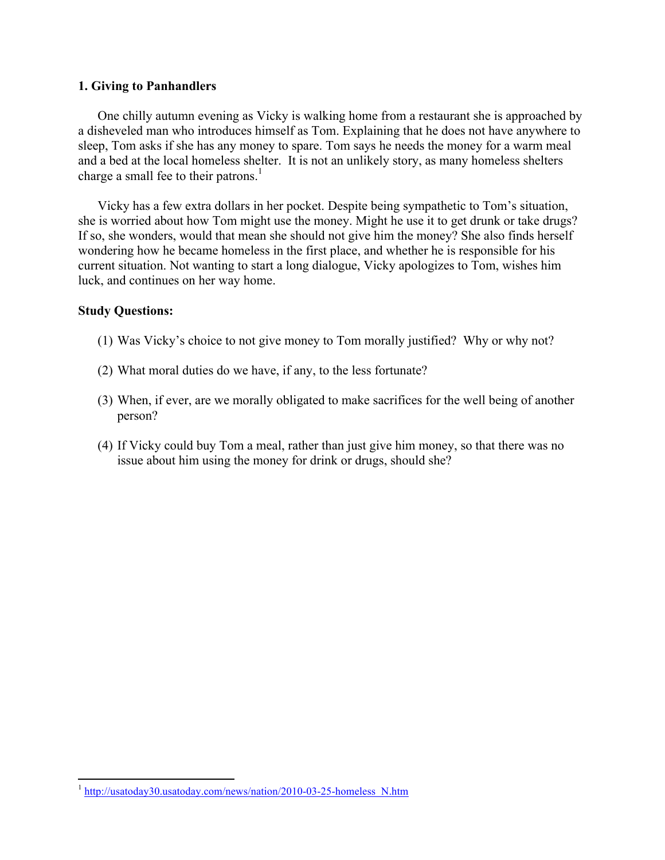#### **1. Giving to Panhandlers**

One chilly autumn evening as Vicky is walking home from a restaurant she is approached by a disheveled man who introduces himself as Tom. Explaining that he does not have anywhere to sleep, Tom asks if she has any money to spare. Tom says he needs the money for a warm meal and a bed at the local homeless shelter. It is not an unlikely story, as many homeless shelters charge a small fee to their patrons.<sup>1</sup>

Vicky has a few extra dollars in her pocket. Despite being sympathetic to Tom's situation, she is worried about how Tom might use the money. Might he use it to get drunk or take drugs? If so, she wonders, would that mean she should not give him the money? She also finds herself wondering how he became homeless in the first place, and whether he is responsible for his current situation. Not wanting to start a long dialogue, Vicky apologizes to Tom, wishes him luck, and continues on her way home.

#### **Study Questions:**

- (1) Was Vicky's choice to not give money to Tom morally justified? Why or why not?
- (2) What moral duties do we have, if any, to the less fortunate?
- (3) When, if ever, are we morally obligated to make sacrifices for the well being of another person?
- (4) If Vicky could buy Tom a meal, rather than just give him money, so that there was no issue about him using the money for drink or drugs, should she?

<sup>&</sup>lt;sup>1</sup> http://usatoday30.usatoday.com/news/nation/2010-03-25-homeless N.htm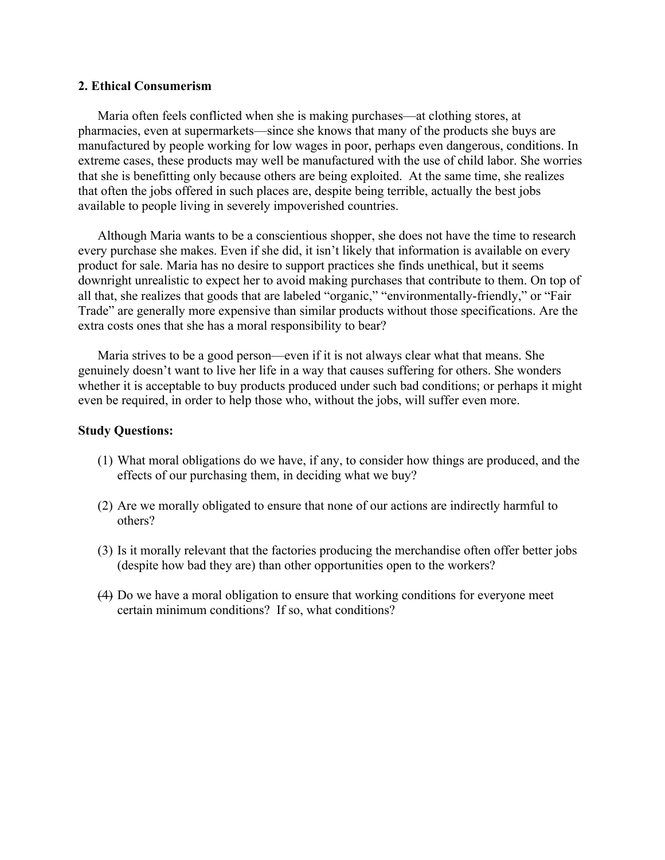#### **2. Ethical Consumerism**

Maria often feels conflicted when she is making purchases—at clothing stores, at pharmacies, even at supermarkets—since she knows that many of the products she buys are manufactured by people working for low wages in poor, perhaps even dangerous, conditions. In extreme cases, these products may well be manufactured with the use of child labor. She worries that she is benefitting only because others are being exploited. At the same time, she realizes that often the jobs offered in such places are, despite being terrible, actually the best jobs available to people living in severely impoverished countries.

Although Maria wants to be a conscientious shopper, she does not have the time to research every purchase she makes. Even if she did, it isn't likely that information is available on every product for sale. Maria has no desire to support practices she finds unethical, but it seems downright unrealistic to expect her to avoid making purchases that contribute to them. On top of all that, she realizes that goods that are labeled "organic," "environmentally-friendly," or "Fair Trade" are generally more expensive than similar products without those specifications. Are the extra costs ones that she has a moral responsibility to bear?

Maria strives to be a good person—even if it is not always clear what that means. She genuinely doesn't want to live her life in a way that causes suffering for others. She wonders whether it is acceptable to buy products produced under such bad conditions; or perhaps it might even be required, in order to help those who, without the jobs, will suffer even more.

- (1) What moral obligations do we have, if any, to consider how things are produced, and the effects of our purchasing them, in deciding what we buy?
- (2) Are we morally obligated to ensure that none of our actions are indirectly harmful to others?
- (3) Is it morally relevant that the factories producing the merchandise often offer better jobs (despite how bad they are) than other opportunities open to the workers?
- (4) Do we have a moral obligation to ensure that working conditions for everyone meet certain minimum conditions? If so, what conditions?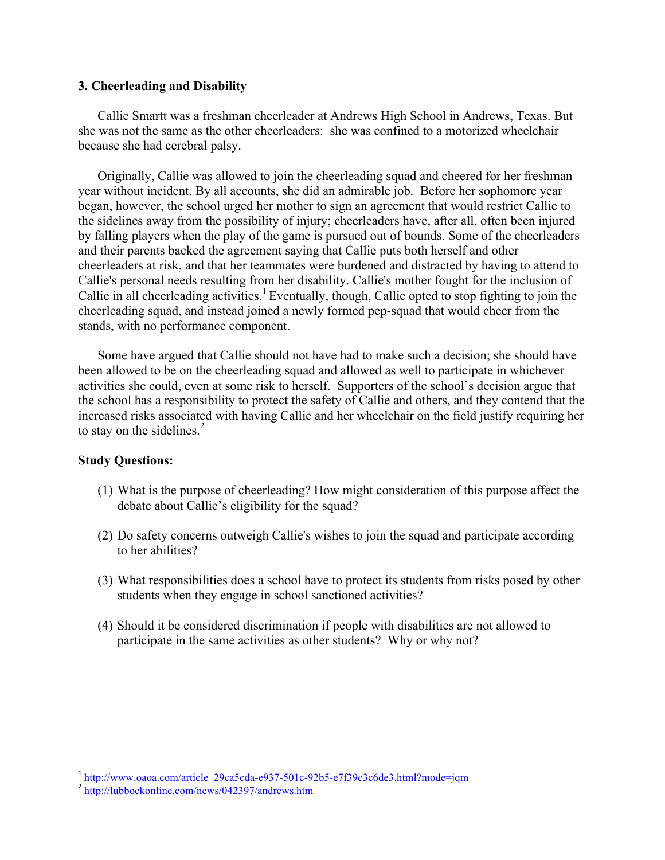### **3. Cheerleading and Disability**

Callie Smartt was a freshman cheerleader at Andrews High School in Andrews, Texas. But she was not the same as the other cheerleaders: she was confined to a motorized wheelchair because she had cerebral palsy.

Originally, Callie was allowed to join the cheerleading squad and cheered for her freshman year without incident. By all accounts, she did an admirable job. Before her sophomore year began, however, the school urged her mother to sign an agreement that would restrict Callie to the sidelines away from the possibility of injury; cheerleaders have, after all, often been injured by falling players when the play of the game is pursued out of bounds. Some of the cheerleaders and their parents backed the agreement saying that Callie puts both herself and other cheerleaders at risk, and that her teammates were burdened and distracted by having to attend to Callie's personal needs resulting from her disability. Callie's mother fought for the inclusion of Callie in all cheerleading activities.<sup>1</sup> Eventually, though, Callie opted to stop fighting to join the cheerleading squad, and instead joined a newly formed pep-squad that would cheer from the stands, with no performance component.

Some have argued that Callie should not have had to make such a decision; she should have been allowed to be on the cheerleading squad and allowed as well to participate in whichever activities she could, even at some risk to herself. Supporters of the school's decision argue that the school has a responsibility to protect the safety of Callie and others, and they contend that the increased risks associated with having Callie and her wheelchair on the field justify requiring her to stay on the sidelines. $<sup>2</sup>$ </sup>

## **Study Questions:**

- (1) What is the purpose of cheerleading? How might consideration of this purpose affect the debate about Callie's eligibility for the squad?
- (2) Do safety concerns outweigh Callie's wishes to join the squad and participate according to her abilities?
- (3) What responsibilities does a school have to protect its students from risks posed by other students when they engage in school sanctioned activities?
- (4) Should it be considered discrimination if people with disabilities are not allowed to participate in the same activities as other students? Why or why not?

 $1 \text{ http://www.oaoa.com/article}$  29ca5cda-e937-501c-92b5-e7f39c3c6de3.html?mode=jqm

 $2 \frac{\text{http://lubbockonline.com/news/042397/andrews.htm}}{$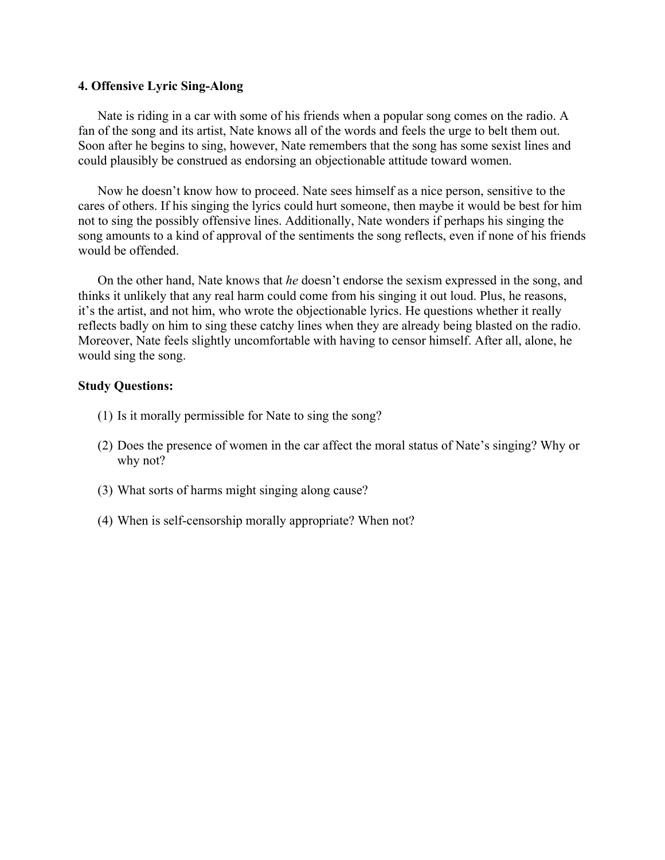#### **4. Offensive Lyric Sing-Along**

Nate is riding in a car with some of his friends when a popular song comes on the radio. A fan of the song and its artist, Nate knows all of the words and feels the urge to belt them out. Soon after he begins to sing, however, Nate remembers that the song has some sexist lines and could plausibly be construed as endorsing an objectionable attitude toward women.

Now he doesn't know how to proceed. Nate sees himself as a nice person, sensitive to the cares of others. If his singing the lyrics could hurt someone, then maybe it would be best for him not to sing the possibly offensive lines. Additionally, Nate wonders if perhaps his singing the song amounts to a kind of approval of the sentiments the song reflects, even if none of his friends would be offended.

On the other hand, Nate knows that *he* doesn't endorse the sexism expressed in the song, and thinks it unlikely that any real harm could come from his singing it out loud. Plus, he reasons, it's the artist, and not him, who wrote the objectionable lyrics. He questions whether it really reflects badly on him to sing these catchy lines when they are already being blasted on the radio. Moreover, Nate feels slightly uncomfortable with having to censor himself. After all, alone, he would sing the song.

- (1) Is it morally permissible for Nate to sing the song?
- (2) Does the presence of women in the car affect the moral status of Nate's singing? Why or why not?
- (3) What sorts of harms might singing along cause?
- (4) When is self-censorship morally appropriate? When not?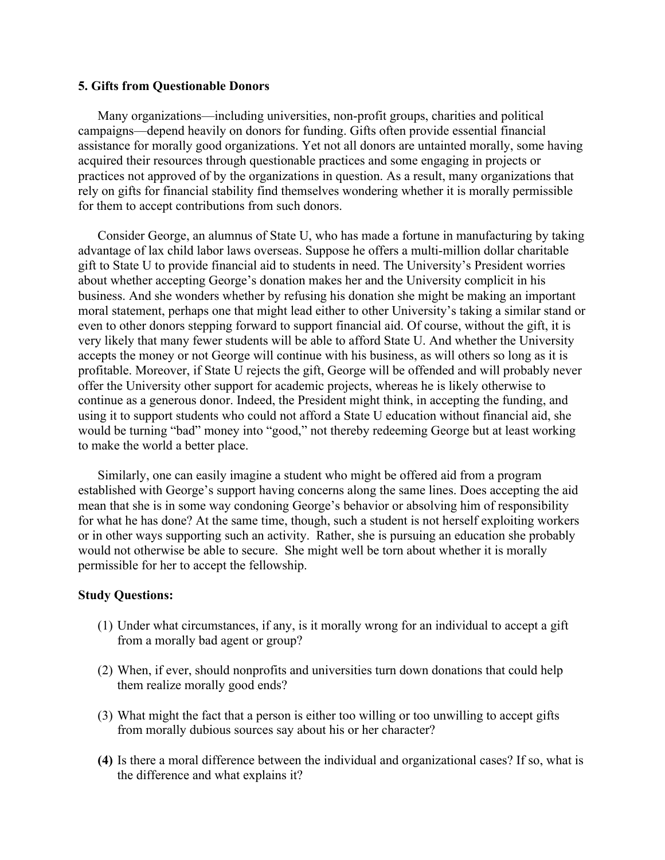#### **5. Gifts from Questionable Donors**

Many organizations—including universities, non-profit groups, charities and political campaigns—depend heavily on donors for funding. Gifts often provide essential financial assistance for morally good organizations. Yet not all donors are untainted morally, some having acquired their resources through questionable practices and some engaging in projects or practices not approved of by the organizations in question. As a result, many organizations that rely on gifts for financial stability find themselves wondering whether it is morally permissible for them to accept contributions from such donors.

Consider George, an alumnus of State U, who has made a fortune in manufacturing by taking advantage of lax child labor laws overseas. Suppose he offers a multi-million dollar charitable gift to State U to provide financial aid to students in need. The University's President worries about whether accepting George's donation makes her and the University complicit in his business. And she wonders whether by refusing his donation she might be making an important moral statement, perhaps one that might lead either to other University's taking a similar stand or even to other donors stepping forward to support financial aid. Of course, without the gift, it is very likely that many fewer students will be able to afford State U. And whether the University accepts the money or not George will continue with his business, as will others so long as it is profitable. Moreover, if State U rejects the gift, George will be offended and will probably never offer the University other support for academic projects, whereas he is likely otherwise to continue as a generous donor. Indeed, the President might think, in accepting the funding, and using it to support students who could not afford a State U education without financial aid, she would be turning "bad" money into "good," not thereby redeeming George but at least working to make the world a better place.

Similarly, one can easily imagine a student who might be offered aid from a program established with George's support having concerns along the same lines. Does accepting the aid mean that she is in some way condoning George's behavior or absolving him of responsibility for what he has done? At the same time, though, such a student is not herself exploiting workers or in other ways supporting such an activity. Rather, she is pursuing an education she probably would not otherwise be able to secure. She might well be torn about whether it is morally permissible for her to accept the fellowship.

- (1) Under what circumstances, if any, is it morally wrong for an individual to accept a gift from a morally bad agent or group?
- (2) When, if ever, should nonprofits and universities turn down donations that could help them realize morally good ends?
- (3) What might the fact that a person is either too willing or too unwilling to accept gifts from morally dubious sources say about his or her character?
- **(4)** Is there a moral difference between the individual and organizational cases? If so, what is the difference and what explains it?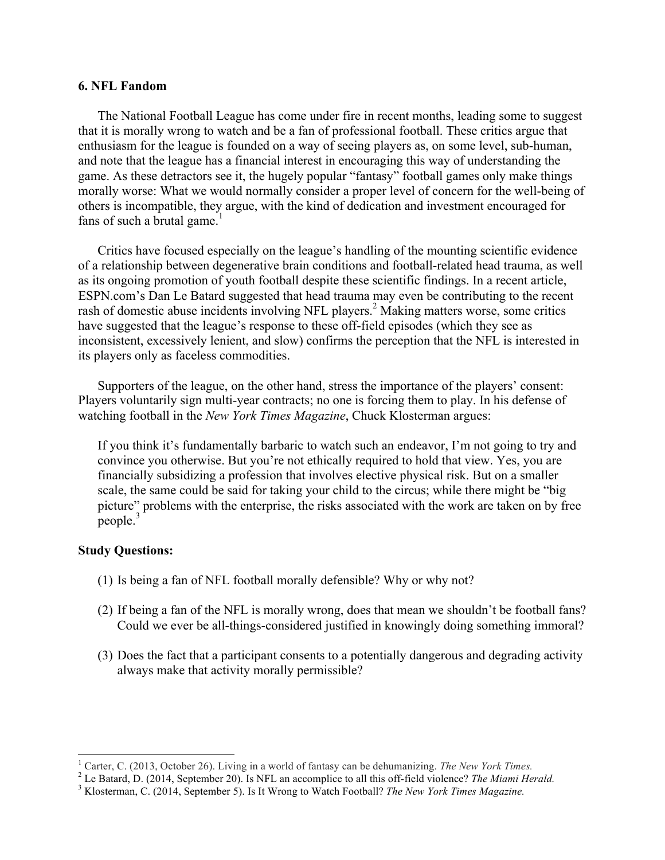#### **6. NFL Fandom**

The National Football League has come under fire in recent months, leading some to suggest that it is morally wrong to watch and be a fan of professional football. These critics argue that enthusiasm for the league is founded on a way of seeing players as, on some level, sub-human, and note that the league has a financial interest in encouraging this way of understanding the game. As these detractors see it, the hugely popular "fantasy" football games only make things morally worse: What we would normally consider a proper level of concern for the well-being of others is incompatible, they argue, with the kind of dedication and investment encouraged for fans of such a brutal game.<sup>1</sup>

Critics have focused especially on the league's handling of the mounting scientific evidence of a relationship between degenerative brain conditions and football-related head trauma, as well as its ongoing promotion of youth football despite these scientific findings. In a recent article, ESPN.com's Dan Le Batard suggested that head trauma may even be contributing to the recent rash of domestic abuse incidents involving NFL players.<sup>2</sup> Making matters worse, some critics have suggested that the league's response to these off-field episodes (which they see as inconsistent, excessively lenient, and slow) confirms the perception that the NFL is interested in its players only as faceless commodities.

Supporters of the league, on the other hand, stress the importance of the players' consent: Players voluntarily sign multi-year contracts; no one is forcing them to play. In his defense of watching football in the *New York Times Magazine*, Chuck Klosterman argues:

If you think it's fundamentally barbaric to watch such an endeavor, I'm not going to try and convince you otherwise. But you're not ethically required to hold that view. Yes, you are financially subsidizing a profession that involves elective physical risk. But on a smaller scale, the same could be said for taking your child to the circus; while there might be "big picture" problems with the enterprise, the risks associated with the work are taken on by free people.<sup>3</sup>

- (1) Is being a fan of NFL football morally defensible? Why or why not?
- (2) If being a fan of the NFL is morally wrong, does that mean we shouldn't be football fans? Could we ever be all-things-considered justified in knowingly doing something immoral?
- (3) Does the fact that a participant consents to a potentially dangerous and degrading activity always make that activity morally permissible?

<sup>&</sup>lt;sup>1</sup> Carter, C. (2013, October 26). Living in a world of fantasy can be dehumanizing. The New York Times.

<sup>&</sup>lt;sup>2</sup> Le Batard, D. (2014, September 20). Is NFL an accomplice to all this off-field violence? *The Miami Herald.*<br><sup>3</sup> Klosterman, C. (2014, September 5). Is It Wrong to Watch Football? *The New York Times Magazine*.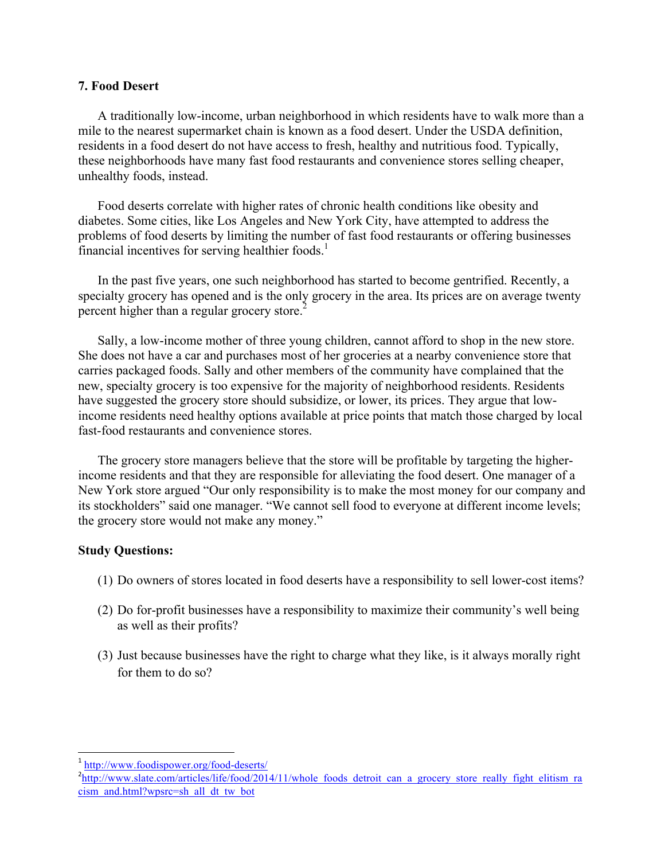#### **7. Food Desert**

A traditionally low-income, urban neighborhood in which residents have to walk more than a mile to the nearest supermarket chain is known as a food desert. Under the USDA definition, residents in a food desert do not have access to fresh, healthy and nutritious food. Typically, these neighborhoods have many fast food restaurants and convenience stores selling cheaper, unhealthy foods, instead.

Food deserts correlate with higher rates of chronic health conditions like obesity and diabetes. Some cities, like Los Angeles and New York City, have attempted to address the problems of food deserts by limiting the number of fast food restaurants or offering businesses financial incentives for serving healthier foods.<sup>1</sup>

In the past five years, one such neighborhood has started to become gentrified. Recently, a specialty grocery has opened and is the only grocery in the area. Its prices are on average twenty percent higher than a regular grocery store.<sup>2</sup>

Sally, a low-income mother of three young children, cannot afford to shop in the new store. She does not have a car and purchases most of her groceries at a nearby convenience store that carries packaged foods. Sally and other members of the community have complained that the new, specialty grocery is too expensive for the majority of neighborhood residents. Residents have suggested the grocery store should subsidize, or lower, its prices. They argue that lowincome residents need healthy options available at price points that match those charged by local fast-food restaurants and convenience stores.

The grocery store managers believe that the store will be profitable by targeting the higherincome residents and that they are responsible for alleviating the food desert. One manager of a New York store argued "Our only responsibility is to make the most money for our company and its stockholders" said one manager. "We cannot sell food to everyone at different income levels; the grocery store would not make any money."

## **Study Questions:**

- (1) Do owners of stores located in food deserts have a responsibility to sell lower-cost items?
- (2) Do for-profit businesses have a responsibility to maximize their community's well being as well as their profits?
- (3) Just because businesses have the right to charge what they like, is it always morally right for them to do so?

<sup>1</sup> http://www.foodispower.org/food-deserts/

<sup>&</sup>lt;sup>2</sup>http://www.slate.com/articles/life/food/2014/11/whole\_foods\_detroit\_can\_a\_grocery\_store\_really\_fight\_elitism\_ra cism\_and.html?wpsrc=sh\_all\_dt\_tw\_bot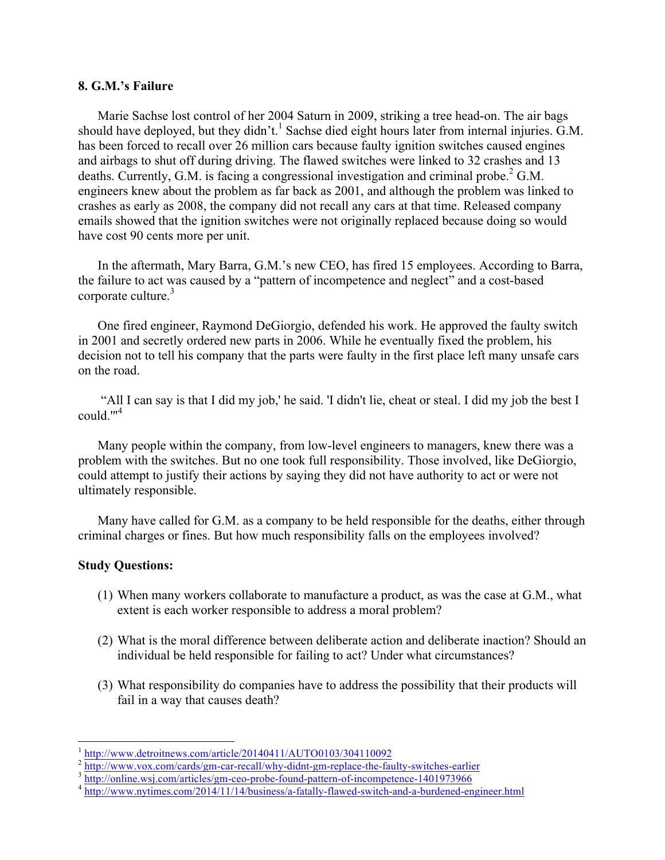#### **8. G.M.'s Failure**

Marie Sachse lost control of her 2004 Saturn in 2009, striking a tree head-on. The air bags should have deployed, but they didn't.<sup>1</sup> Sachse died eight hours later from internal injuries. G.M. has been forced to recall over 26 million cars because faulty ignition switches caused engines and airbags to shut off during driving. The flawed switches were linked to 32 crashes and 13 deaths. Currently, G.M. is facing a congressional investigation and criminal probe.<sup>2</sup> G.M. engineers knew about the problem as far back as 2001, and although the problem was linked to crashes as early as 2008, the company did not recall any cars at that time. Released company emails showed that the ignition switches were not originally replaced because doing so would have cost 90 cents more per unit.

In the aftermath, Mary Barra, G.M.'s new CEO, has fired 15 employees. According to Barra, the failure to act was caused by a "pattern of incompetence and neglect" and a cost-based corporate culture.<sup>3</sup>

One fired engineer, Raymond DeGiorgio, defended his work. He approved the faulty switch in 2001 and secretly ordered new parts in 2006. While he eventually fixed the problem, his decision not to tell his company that the parts were faulty in the first place left many unsafe cars on the road.

"All I can say is that I did my job,' he said. 'I didn't lie, cheat or steal. I did my job the best I could.'"4

Many people within the company, from low-level engineers to managers, knew there was a problem with the switches. But no one took full responsibility. Those involved, like DeGiorgio, could attempt to justify their actions by saying they did not have authority to act or were not ultimately responsible.

Many have called for G.M. as a company to be held responsible for the deaths, either through criminal charges or fines. But how much responsibility falls on the employees involved?

## **Study Questions:**

- (1) When many workers collaborate to manufacture a product, as was the case at G.M., what extent is each worker responsible to address a moral problem?
- (2) What is the moral difference between deliberate action and deliberate inaction? Should an individual be held responsible for failing to act? Under what circumstances?
- (3) What responsibility do companies have to address the possibility that their products will fail in a way that causes death?

 $\frac{1}{2}$  http://www.detroitnews.com/article/20140411/AUTO0103/304110092<br> $\frac{1}{2}$  http://www.vox.com/cards/gm-car-recall/why-didnt-gm-replace-the-faulty-switches-earlier

<sup>&</sup>lt;sup>3</sup> http://online.wsj.com/articles/gm-ceo-probe-found-pattern-of-incompetence-1401973966<br><sup>4</sup> http://www.nytimes.com/2014/11/14/business/a-fatally-flawed-switch-and-a-burdened-engineer.html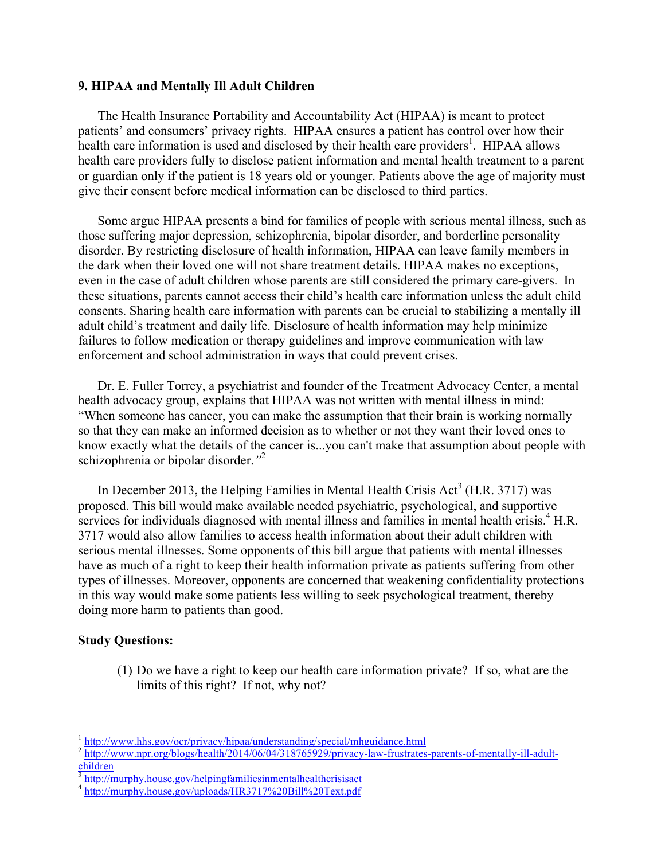### **9. HIPAA and Mentally Ill Adult Children**

The Health Insurance Portability and Accountability Act (HIPAA) is meant to protect patients' and consumers' privacy rights. HIPAA ensures a patient has control over how their health care information is used and disclosed by their health care providers<sup>1</sup>. HIPAA allows health care providers fully to disclose patient information and mental health treatment to a parent or guardian only if the patient is 18 years old or younger. Patients above the age of majority must give their consent before medical information can be disclosed to third parties.

Some argue HIPAA presents a bind for families of people with serious mental illness, such as those suffering major depression, schizophrenia, bipolar disorder, and borderline personality disorder. By restricting disclosure of health information, HIPAA can leave family members in the dark when their loved one will not share treatment details. HIPAA makes no exceptions, even in the case of adult children whose parents are still considered the primary care-givers. In these situations, parents cannot access their child's health care information unless the adult child consents. Sharing health care information with parents can be crucial to stabilizing a mentally ill adult child's treatment and daily life. Disclosure of health information may help minimize failures to follow medication or therapy guidelines and improve communication with law enforcement and school administration in ways that could prevent crises.

Dr. E. Fuller Torrey, a psychiatrist and founder of the Treatment Advocacy Center, a mental health advocacy group, explains that HIPAA was not written with mental illness in mind: "When someone has cancer, you can make the assumption that their brain is working normally so that they can make an informed decision as to whether or not they want their loved ones to know exactly what the details of the cancer is...you can't make that assumption about people with schizophrenia or bipolar disorder.*"*<sup>2</sup>

In December 2013, the Helping Families in Mental Health Crisis Act<sup>3</sup> (H.R. 3717) was proposed. This bill would make available needed psychiatric, psychological, and supportive services for individuals diagnosed with mental illness and families in mental health crisis.<sup>4</sup> H.R. 3717 would also allow families to access health information about their adult children with serious mental illnesses. Some opponents of this bill argue that patients with mental illnesses have as much of a right to keep their health information private as patients suffering from other types of illnesses. Moreover, opponents are concerned that weakening confidentiality protections in this way would make some patients less willing to seek psychological treatment, thereby doing more harm to patients than good.

## **Study Questions:**

 

(1) Do we have a right to keep our health care information private? If so, what are the limits of this right? If not, why not?

<sup>&</sup>lt;sup>1</sup> http://www.hhs.gov/ocr/privacy/hipaa/understanding/special/mhguidance.html

<sup>&</sup>lt;sup>2</sup> http://www.npr.org/blogs/health/2014/06/04/318765929/privacy-law-frustrates-parents-of-mentally-ill-adultchildren

 $\frac{3}{3}$  http://murphy.house.gov/helpingfamiliesinmentalhealthcrisisact

<sup>&</sup>lt;sup>4</sup> http://murphy.house.gov/uploads/HR3717%20Bill%20Text.pdf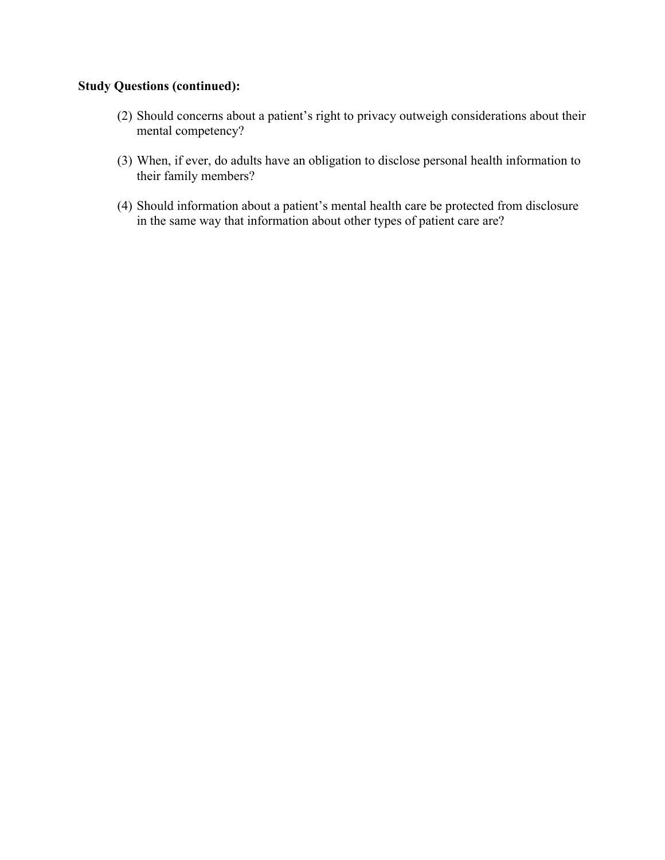# **Study Questions (continued):**

- (2) Should concerns about a patient's right to privacy outweigh considerations about their mental competency?
- (3) When, if ever, do adults have an obligation to disclose personal health information to their family members?
- (4) Should information about a patient's mental health care be protected from disclosure in the same way that information about other types of patient care are?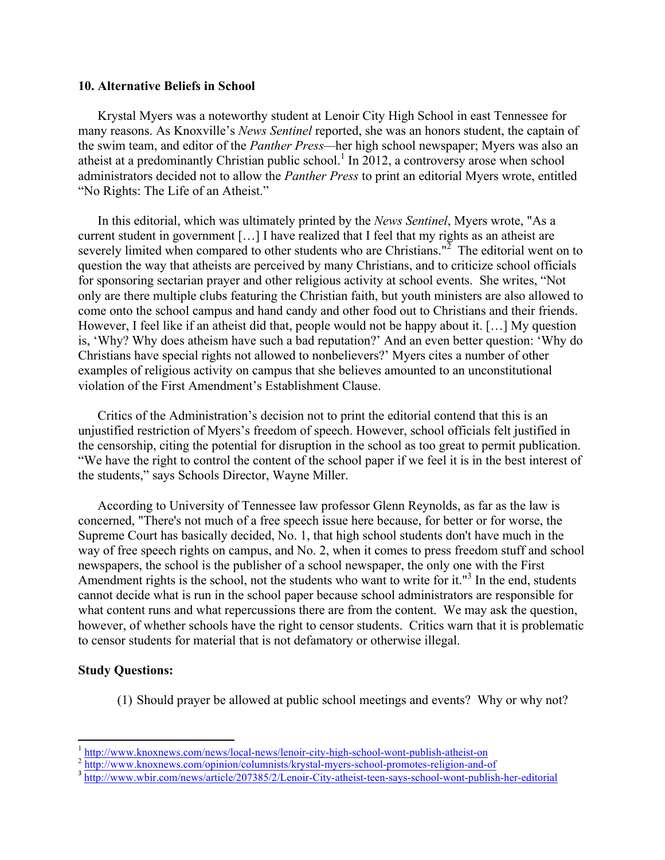#### **10. Alternative Beliefs in School**

Krystal Myers was a noteworthy student at Lenoir City High School in east Tennessee for many reasons. As Knoxville's *News Sentinel* reported, she was an honors student, the captain of the swim team, and editor of the *Panther Press—*her high school newspaper; Myers was also an atheist at a predominantly Christian public school.<sup>1</sup> In 2012, a controversy arose when school administrators decided not to allow the *Panther Press* to print an editorial Myers wrote, entitled "No Rights: The Life of an Atheist."

In this editorial, which was ultimately printed by the *News Sentinel*, Myers wrote, "As a current student in government […] I have realized that I feel that my rights as an atheist are severely limited when compared to other students who are Christians." $^2$  The editorial went on to question the way that atheists are perceived by many Christians, and to criticize school officials for sponsoring sectarian prayer and other religious activity at school events. She writes, "Not only are there multiple clubs featuring the Christian faith, but youth ministers are also allowed to come onto the school campus and hand candy and other food out to Christians and their friends. However, I feel like if an atheist did that, people would not be happy about it. […] My question is, 'Why? Why does atheism have such a bad reputation?' And an even better question: 'Why do Christians have special rights not allowed to nonbelievers?' Myers cites a number of other examples of religious activity on campus that she believes amounted to an unconstitutional violation of the First Amendment's Establishment Clause.

Critics of the Administration's decision not to print the editorial contend that this is an unjustified restriction of Myers's freedom of speech. However, school officials felt justified in the censorship, citing the potential for disruption in the school as too great to permit publication. "We have the right to control the content of the school paper if we feel it is in the best interest of the students," says Schools Director, Wayne Miller.

According to University of Tennessee law professor Glenn Reynolds, as far as the law is concerned, "There's not much of a free speech issue here because, for better or for worse, the Supreme Court has basically decided, No. 1, that high school students don't have much in the way of free speech rights on campus, and No. 2, when it comes to press freedom stuff and school newspapers, the school is the publisher of a school newspaper, the only one with the First Amendment rights is the school, not the students who want to write for it."<sup>3</sup> In the end, students cannot decide what is run in the school paper because school administrators are responsible for what content runs and what repercussions there are from the content. We may ask the question, however, of whether schools have the right to censor students. Critics warn that it is problematic to censor students for material that is not defamatory or otherwise illegal.

### **Study Questions:**

(1) Should prayer be allowed at public school meetings and events? Why or why not?

 $\frac{1 \text{ http://www.knoxnews.com/news/local news/lenoir-city-high-school-worth-public} \times 2 \frac{1 \text{http://www.knoxnews.com/opinion/columnists/krystal-myers-school-promotes-religion-and-of-  
s [http://www.wbir.com/news/article/207385/2/Lenoir-City-atheist-teen-says-school-worth-public-her-editorial](http://www.knoxnews.com/opinion/columnists/krystal-myers-school-promotes-religion-and-of-<br/>s <a href=)$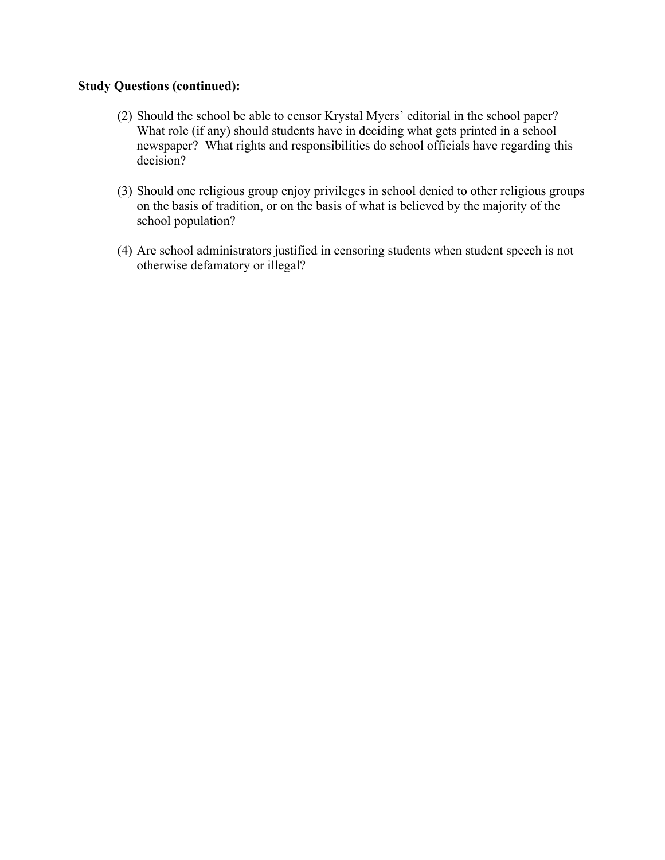# **Study Questions (continued):**

- (2) Should the school be able to censor Krystal Myers' editorial in the school paper? What role (if any) should students have in deciding what gets printed in a school newspaper? What rights and responsibilities do school officials have regarding this decision?
- (3) Should one religious group enjoy privileges in school denied to other religious groups on the basis of tradition, or on the basis of what is believed by the majority of the school population?
- (4) Are school administrators justified in censoring students when student speech is not otherwise defamatory or illegal?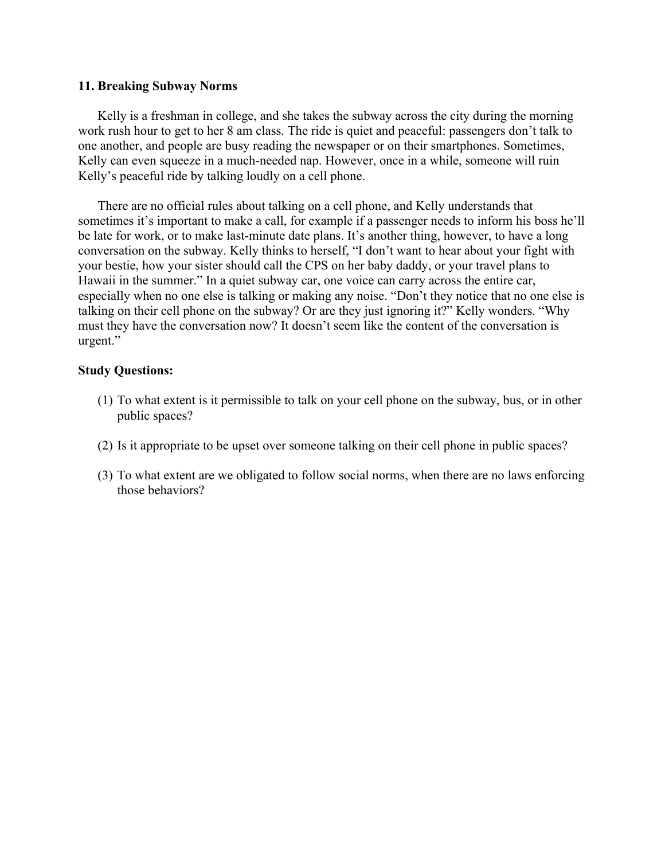#### **11. Breaking Subway Norms**

Kelly is a freshman in college, and she takes the subway across the city during the morning work rush hour to get to her 8 am class. The ride is quiet and peaceful: passengers don't talk to one another, and people are busy reading the newspaper or on their smartphones. Sometimes, Kelly can even squeeze in a much-needed nap. However, once in a while, someone will ruin Kelly's peaceful ride by talking loudly on a cell phone.

There are no official rules about talking on a cell phone, and Kelly understands that sometimes it's important to make a call, for example if a passenger needs to inform his boss he'll be late for work, or to make last-minute date plans. It's another thing, however, to have a long conversation on the subway. Kelly thinks to herself, "I don't want to hear about your fight with your bestie, how your sister should call the CPS on her baby daddy, or your travel plans to Hawaii in the summer." In a quiet subway car, one voice can carry across the entire car, especially when no one else is talking or making any noise. "Don't they notice that no one else is talking on their cell phone on the subway? Or are they just ignoring it?" Kelly wonders. "Why must they have the conversation now? It doesn't seem like the content of the conversation is urgent."

- (1) To what extent is it permissible to talk on your cell phone on the subway, bus, or in other public spaces?
- (2) Is it appropriate to be upset over someone talking on their cell phone in public spaces?
- (3) To what extent are we obligated to follow social norms, when there are no laws enforcing those behaviors?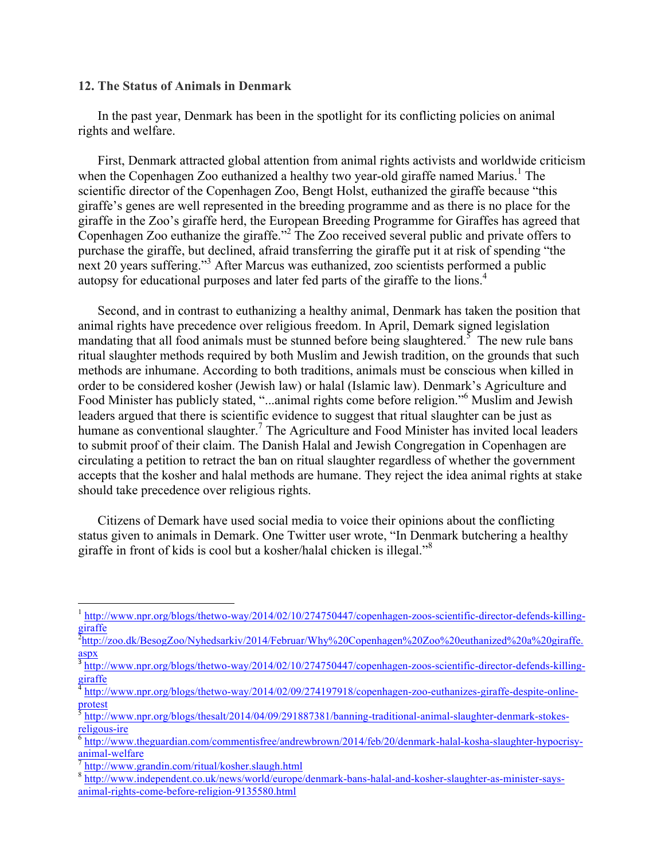#### **12. The Status of Animals in Denmark**

In the past year, Denmark has been in the spotlight for its conflicting policies on animal rights and welfare.

First, Denmark attracted global attention from animal rights activists and worldwide criticism when the Copenhagen Zoo euthanized a healthy two year-old giraffe named Marius.<sup>1</sup> The scientific director of the Copenhagen Zoo, Bengt Holst, euthanized the giraffe because "this giraffe's genes are well represented in the breeding programme and as there is no place for the giraffe in the Zoo's giraffe herd, the European Breeding Programme for Giraffes has agreed that Copenhagen Zoo euthanize the giraffe."2 The Zoo received several public and private offers to purchase the giraffe, but declined, afraid transferring the giraffe put it at risk of spending "the next 20 years suffering."<sup>3</sup> After Marcus was euthanized, zoo scientists performed a public autopsy for educational purposes and later fed parts of the giraffe to the lions.4

Second, and in contrast to euthanizing a healthy animal, Denmark has taken the position that animal rights have precedence over religious freedom. In April, Demark signed legislation mandating that all food animals must be stunned before being slaughtered.<sup>5</sup> The new rule bans ritual slaughter methods required by both Muslim and Jewish tradition, on the grounds that such methods are inhumane. According to both traditions, animals must be conscious when killed in order to be considered kosher (Jewish law) or halal (Islamic law). Denmark's Agriculture and Food Minister has publicly stated, "...animal rights come before religion."6 Muslim and Jewish leaders argued that there is scientific evidence to suggest that ritual slaughter can be just as humane as conventional slaughter.<sup>7</sup> The Agriculture and Food Minister has invited local leaders to submit proof of their claim. The Danish Halal and Jewish Congregation in Copenhagen are circulating a petition to retract the ban on ritual slaughter regardless of whether the government accepts that the kosher and halal methods are humane. They reject the idea animal rights at stake should take precedence over religious rights.

Citizens of Demark have used social media to voice their opinions about the conflicting status given to animals in Demark. One Twitter user wrote, "In Denmark butchering a healthy giraffe in front of kids is cool but a kosher/halal chicken is illegal."<sup>8</sup>

<sup>&</sup>lt;sup>1</sup> http://www.npr.org/blogs/thetwo-way/2014/02/10/274750447/copenhagen-zoos-scientific-director-defends-killinggiraffe

<sup>&</sup>lt;sup>2</sup>http://zoo.dk/BesogZoo/Nyhedsarkiv/2014/Februar/Why%20Copenhagen%20Zoo%20euthanized%20a%20giraffe. aspx

http://www.npr.org/blogs/thetwo-way/2014/02/10/274750447/copenhagen-zoos-scientific-director-defends-killinggiraffe

http://www.npr.org/blogs/thetwo-way/2014/02/09/274197918/copenhagen-zoo-euthanizes-giraffe-despite-online- $\frac{1}{5}$ <sub>1.</sub>...

 $\frac{1}{5}$  http://www.npr.org/blogs/thesalt/2014/04/09/291887381/banning-traditional-animal-slaughter-denmark-stokes-<br>  $\frac{1}{5}$ 

http://www.theguardian.com/commentisfree/andrewbrown/2014/feb/20/denmark-halal-kosha-slaughter-hypocrisy- $\frac{1}{7}$  http://www.grandin.com/ritual/kosher.slaugh.html

<sup>8</sup> http://www.independent.co.uk/news/world/europe/denmark-bans-halal-and-kosher-slaughter-as-minister-saysanimal-rights-come-before-religion-9135580.html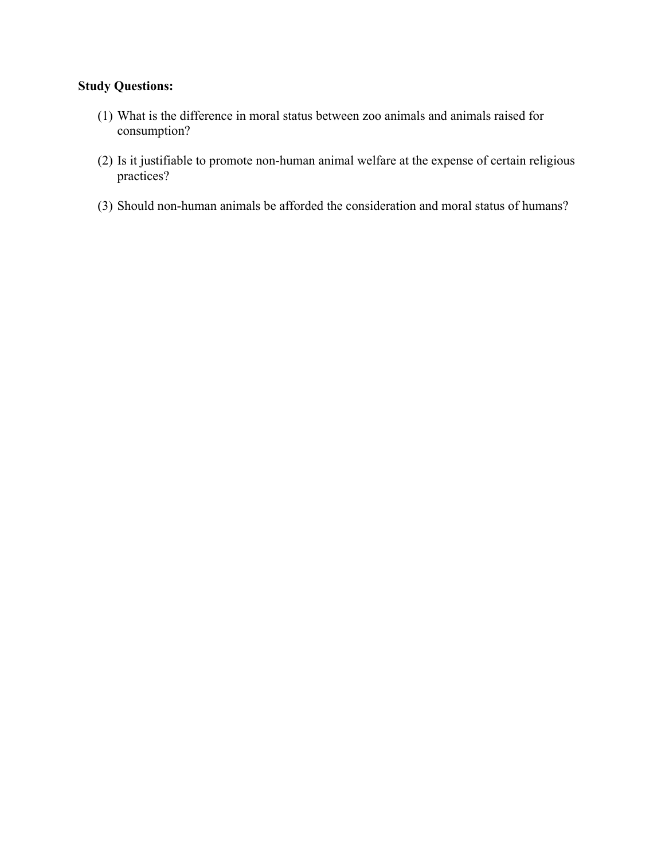- (1) What is the difference in moral status between zoo animals and animals raised for consumption?
- (2) Is it justifiable to promote non-human animal welfare at the expense of certain religious practices?
- (3) Should non-human animals be afforded the consideration and moral status of humans?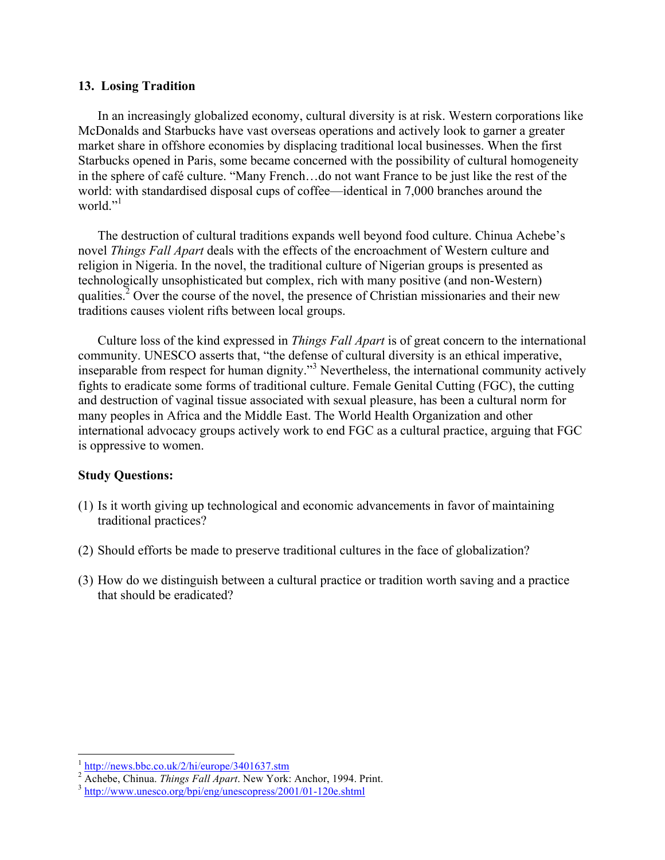### **13. Losing Tradition**

In an increasingly globalized economy, cultural diversity is at risk. Western corporations like McDonalds and Starbucks have vast overseas operations and actively look to garner a greater market share in offshore economies by displacing traditional local businesses. When the first Starbucks opened in Paris, some became concerned with the possibility of cultural homogeneity in the sphere of café culture. "Many French…do not want France to be just like the rest of the world: with standardised disposal cups of coffee—identical in 7,000 branches around the world $"$ <sup>1</sup>

The destruction of cultural traditions expands well beyond food culture. Chinua Achebe's novel *Things Fall Apart* deals with the effects of the encroachment of Western culture and religion in Nigeria. In the novel, the traditional culture of Nigerian groups is presented as technologically unsophisticated but complex, rich with many positive (and non-Western) qualities.<sup>2</sup> Over the course of the novel, the presence of Christian missionaries and their new traditions causes violent rifts between local groups.

Culture loss of the kind expressed in *Things Fall Apart* is of great concern to the international community. UNESCO asserts that, "the defense of cultural diversity is an ethical imperative, inseparable from respect for human dignity."<sup>3</sup> Nevertheless, the international community actively fights to eradicate some forms of traditional culture. Female Genital Cutting (FGC), the cutting and destruction of vaginal tissue associated with sexual pleasure, has been a cultural norm for many peoples in Africa and the Middle East. The World Health Organization and other international advocacy groups actively work to end FGC as a cultural practice, arguing that FGC is oppressive to women.

- (1) Is it worth giving up technological and economic advancements in favor of maintaining traditional practices?
- (2) Should efforts be made to preserve traditional cultures in the face of globalization?
- (3) How do we distinguish between a cultural practice or tradition worth saving and a practice that should be eradicated?

http://news.bbc.co.uk/2/hi/europe/3401637.stm

<sup>&</sup>lt;sup>2</sup> Achebe, Chinua. *Things Fall Apart*. New York: Anchor, 1994. Print. 3 http://www.unesco.org/bpi/eng/unescopress/2001/01-120e.shtml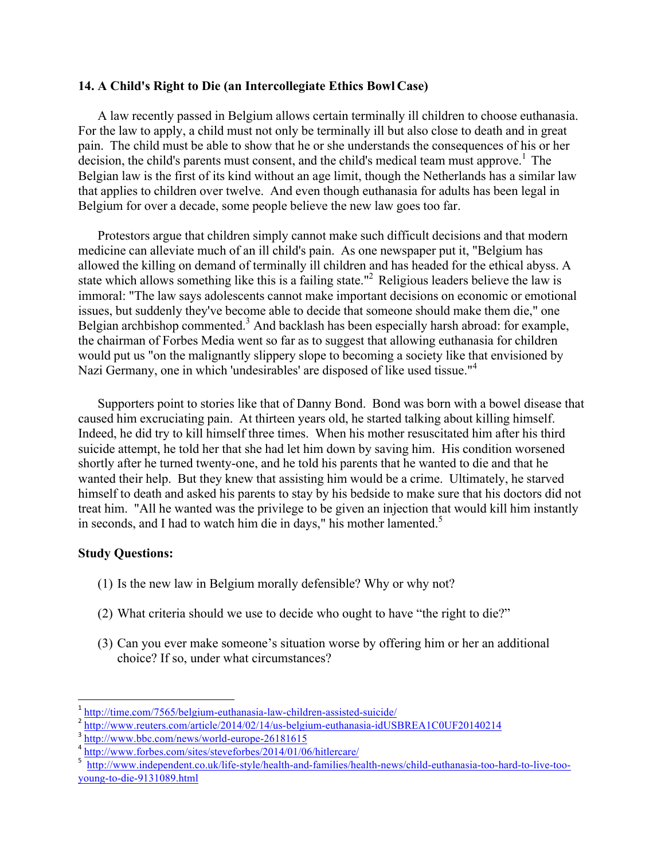# **14. A Child's Right to Die (an Intercollegiate Ethics Bowl Case)**

A law recently passed in Belgium allows certain terminally ill children to choose euthanasia. For the law to apply, a child must not only be terminally ill but also close to death and in great pain. The child must be able to show that he or she understands the consequences of his or her decision, the child's parents must consent, and the child's medical team must approve.<sup>1</sup> The Belgian law is the first of its kind without an age limit, though the Netherlands has a similar law that applies to children over twelve. And even though euthanasia for adults has been legal in Belgium for over a decade, some people believe the new law goes too far.

Protestors argue that children simply cannot make such difficult decisions and that modern medicine can alleviate much of an ill child's pain. As one newspaper put it, "Belgium has allowed the killing on demand of terminally ill children and has headed for the ethical abyss. A state which allows something like this is a failing state."<sup>2</sup> Religious leaders believe the law is immoral: "The law says adolescents cannot make important decisions on economic or emotional issues, but suddenly they've become able to decide that someone should make them die," one Belgian archbishop commented.<sup>3</sup> And backlash has been especially harsh abroad: for example, the chairman of Forbes Media went so far as to suggest that allowing euthanasia for children would put us "on the malignantly slippery slope to becoming a society like that envisioned by Nazi Germany, one in which 'undesirables' are disposed of like used tissue."<sup>4</sup>

Supporters point to stories like that of Danny Bond. Bond was born with a bowel disease that caused him excruciating pain. At thirteen years old, he started talking about killing himself. Indeed, he did try to kill himself three times. When his mother resuscitated him after his third suicide attempt, he told her that she had let him down by saving him. His condition worsened shortly after he turned twenty-one, and he told his parents that he wanted to die and that he wanted their help. But they knew that assisting him would be a crime. Ultimately, he starved himself to death and asked his parents to stay by his bedside to make sure that his doctors did not treat him. "All he wanted was the privilege to be given an injection that would kill him instantly in seconds, and I had to watch him die in days," his mother lamented.<sup>5</sup>

# **Study Questions:**

- (1) Is the new law in Belgium morally defensible? Why or why not?
- (2) What criteria should we use to decide who ought to have "the right to die?"
- (3) Can you ever make someone's situation worse by offering him or her an additional choice? If so, under what circumstances?

<sup>1</sup> http://time.com/7565/belgium-euthanasia-law-children-assisted-suicide/

 $\frac{2 \text{ http://www.reuters.com/article/2014/02/14/us-belgium-euthanasia-idUSBREAD1C0UF20140214}{\text{http://www.bbc.com/news/world-eurone-26181615}}$ 

 $\frac{4 \text{ http://www.forbes.com/sites/steveforbes/2014/01/06/hitlercare/}}{2014}$ 

<sup>5</sup> http://www.independent.co.uk/life-style/health-and-families/health-news/child-euthanasia-too-hard-to-live-tooyoung-to-die-9131089.html